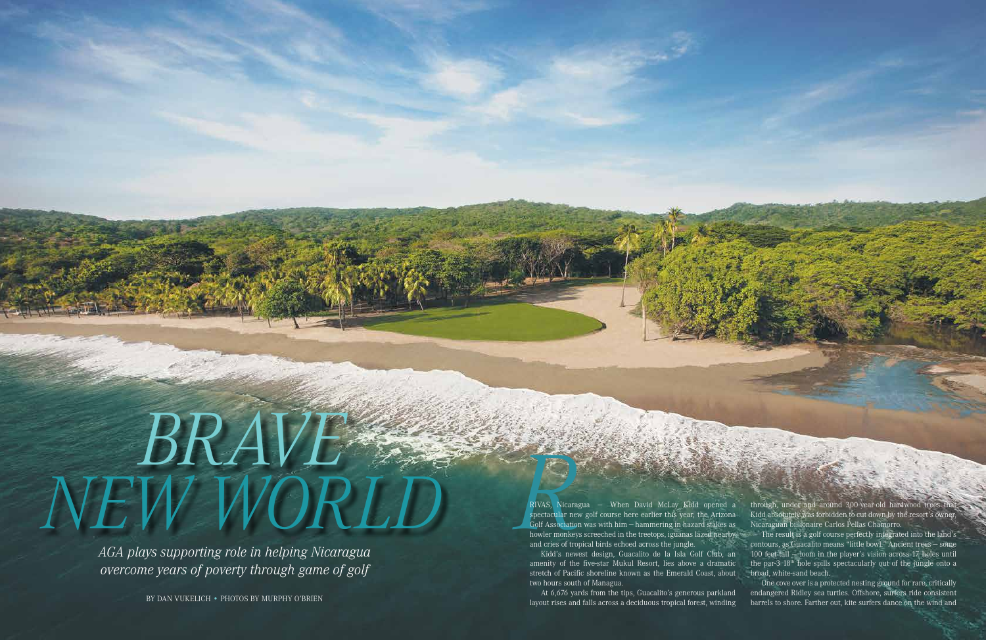www.azgolf.org PREVIEW 2013 | **AZ GOLF** *Insider* | **17**

## *Brave*   $NEW$  *MORID*<br>*NEW MORID*<br>*ACA plays supporting role in behing Nicaragua*

*AGA plays supporting role in helping Nicaragua overcome years of poverty through game of golf*

By Dan Vukelich • PHOTOS BY MURPHY O'BRIEN

RIVAS, Nicaragua — When David McLay Kidd opened a spectacular new golf course here earlier this year, the Arizona Golf Association was with him — hammering in hazard stakes as howler monkeys screeched in the treetops, iguanas lazed nearby and cries of tropical birds echoed across the jungle.

through, under and around 300-year-old hardwood trees that Kidd absolutely was forbidden to cut down by the resort's owner, Nicaraguan billionaire Carlos Pellas Chamorro.

Kidd's newest design, Guacalito de la Isla Golf Club, an amenity of the five-star Mukul Resort, lies above a dramatic stretch of Pacific shoreline known as the Emerald Coast, about two hours south of Managua.

At 6,676 yards from the tips, Guacalito's generous parkland layout rises and falls across a deciduous tropical forest, winding

The result is a golf course perfectly integrated into the land's contours, as Guacalito means "little bowl." Ancient trees — some 100 feet tall — loom in the player's vision across 17 holes until the par-3 18<sup>th</sup> hole spills spectacularly out of the jungle onto a broad, white-sand beach.

One cove over is a protected nesting ground for rare, critically endangered Ridley sea turtles. Offshore, surfers ride consistent barrels to shore. Farther out, kite surfers dance on the wind and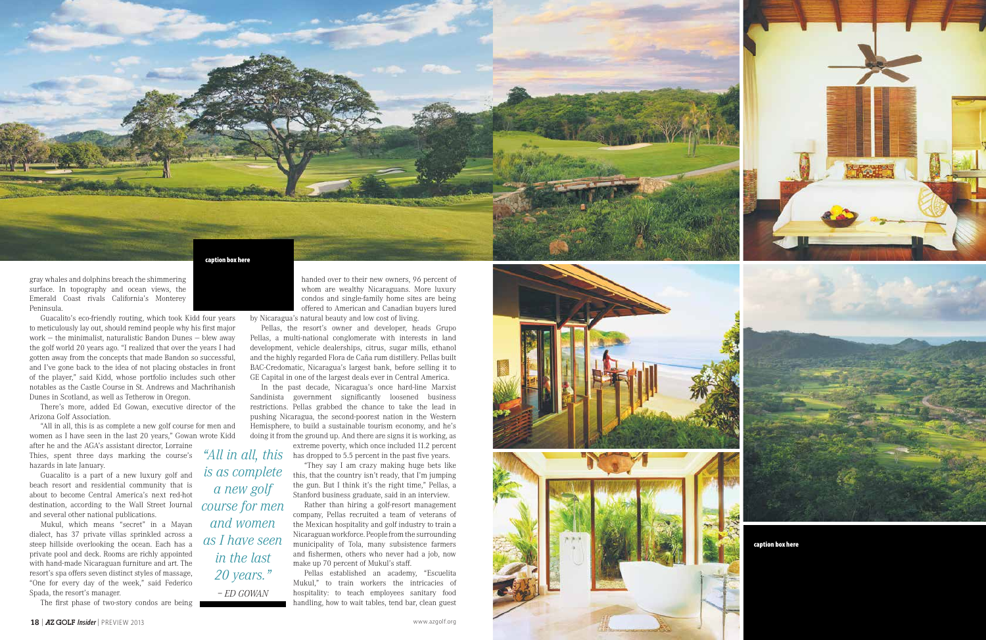gray whales and dolphins breach the shimmering surface. In topography and ocean views, the Emerald Coast rivals California's Monterey Peninsula.

Guacalito's eco-friendly routing, which took Kidd four years to meticulously lay out, should remind people why his first major work — the minimalist, naturalistic Bandon Dunes — blew away the golf world 20 years ago. " I realized that over the years I had gotten away from the concepts that made Bandon so successful, and I've gone back to the idea of not placing obstacles in front of the player," said Kidd, whose portfolio includes such other notables as the Castle Course in St. Andrews and Machrihanish Dunes in Scotland, as well as Tetherow in Oregon.

There's more, added Ed Gowan, executive director of the Arizona Golf Association.

"All in all, this is as complete a new golf course for men and women as I have seen in the last 20 years," Gowan wrote Kidd

after he and the A G A's assistant director, Lorraine Thies, spent three days marking the course's hazards in late January.

Guacalito is a part of a new luxury golf and beach resort and residential community that is about to become Central America's next red-hot destination, according to the Wall Street Journal and several other national publications.

extreme poverty, which once included 11.2 percent "All in all, this has dropped to 5.5 percent in the past five years.

Mukul, which means "secret" in a Mayan dialect, has 37 private villas sprinkled across a steep hillside overlooking the ocean. Each has a private pool and deck. Rooms are richly appointed with hand-made Nicaraguan furniture and art. The resort's spa offers seven distinct styles of massage, "One for every day of the week," said Federico Spada, the resort's manager.

The first phase of two-story condos are being

**18 | AZ GOLF** *Insider* | PREVIEW 2013

handed over to their new owners, 96 percent of whom are wealthy Nicaraguans. More luxury condos and single-family home sites are being offered to American and Canadian buyers lured

by Nicaragua's natural beauty and low cost of living.

Pellas, the resort's owner and developer, heads Grupo Pellas, a multi-national conglomerate with interests in land development, vehicle dealerships, citrus, sugar mills, ethanol and the highly regarded Flora de Caña rum distillery. Pellas built BAC - Credomatic, Nicaragua's largest bank, before selling it to G E Capital in one of the largest deals ever in Central America.

In the past decade, Nicaragua's once hard-line Marxist Sandinista government significantly loosened business restrictions. Pellas grabbed the chance to take the lead in pushing Nicaragua, the second-poorest nation in the Western Hemisphere, to build a sustainable tourism economy, and he's doing it from the ground up. And there are signs it is working, as

> "They say I am crazy making huge bets like this, that the country isn't ready, that I'm jumping the gun. But I think it's the right time," Pellas, a Stanford business graduate, said in an interview.

> Rather than hiring a golf-resort management company, Pellas recruited a team of veterans of the Mexican hospitality and golf industry to train a Nicaraguan workforce. People from the surrounding municipality of Tola, many subsistence farmers and fishermen, others who never had a job, now make up 70 percent of Mukul's staff.

> Pellas established an academy, " Escuelita Mukul," to train workers the intricacies of hospitality: to teach employees sanitary food handling, how to wait tables, tend bar, clean guest

*is as complete* 

*a new golf* 

*course for men* 

*and women* 

*as I have seen* 

*in the last* 

*20 years."*

*– Ed Gowan*